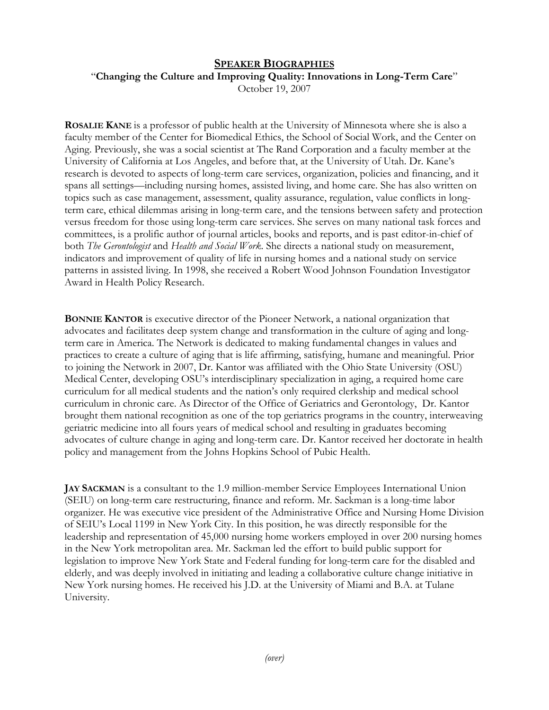## **SPEAKER BIOGRAPHIES**

"**Changing the Culture and Improving Quality: Innovations in Long-Term Care**" October 19, 2007

**ROSALIE KANE** is a professor of public health at the University of Minnesota where she is also a faculty member of the Center for Biomedical Ethics, the School of Social Work, and the Center on Aging. Previously, she was a social scientist at The Rand Corporation and a faculty member at the University of California at Los Angeles, and before that, at the University of Utah. Dr. Kane's research is devoted to aspects of long-term care services, organization, policies and financing, and it spans all settings—including nursing homes, assisted living, and home care. She has also written on topics such as case management, assessment, quality assurance, regulation, value conflicts in longterm care, ethical dilemmas arising in long-term care, and the tensions between safety and protection versus freedom for those using long-term care services. She serves on many national task forces and committees, is a prolific author of journal articles, books and reports, and is past editor-in-chief of both *The Gerontologist* and *Health and Social Work*. She directs a national study on measurement, indicators and improvement of quality of life in nursing homes and a national study on service patterns in assisted living. In 1998, she received a Robert Wood Johnson Foundation Investigator Award in Health Policy Research.

**BONNIE KANTOR** is executive director of the Pioneer Network, a national organization that advocates and facilitates deep system change and transformation in the culture of aging and longterm care in America. The Network is dedicated to making fundamental changes in values and practices to create a culture of aging that is life affirming, satisfying, humane and meaningful. Prior to joining the Network in 2007, Dr. Kantor was affiliated with the Ohio State University (OSU) Medical Center, developing OSU's interdisciplinary specialization in aging, a required home care curriculum for all medical students and the nation's only required clerkship and medical school curriculum in chronic care. As Director of the Office of Geriatrics and Gerontology, Dr. Kantor brought them national recognition as one of the top geriatrics programs in the country, interweaving geriatric medicine into all fours years of medical school and resulting in graduates becoming advocates of culture change in aging and long-term care. Dr. Kantor received her doctorate in health policy and management from the Johns Hopkins School of Pubic Health.

**JAY SACKMAN** is a consultant to the 1.9 million-member Service Employees International Union (SEIU) on long-term care restructuring, finance and reform. Mr. Sackman is a long-time labor organizer. He was executive vice president of the Administrative Office and Nursing Home Division of SEIU's Local 1199 in New York City. In this position, he was directly responsible for the leadership and representation of 45,000 nursing home workers employed in over 200 nursing homes in the New York metropolitan area. Mr. Sackman led the effort to build public support for legislation to improve New York State and Federal funding for long-term care for the disabled and elderly, and was deeply involved in initiating and leading a collaborative culture change initiative in New York nursing homes. He received his J.D. at the University of Miami and B.A. at Tulane University.